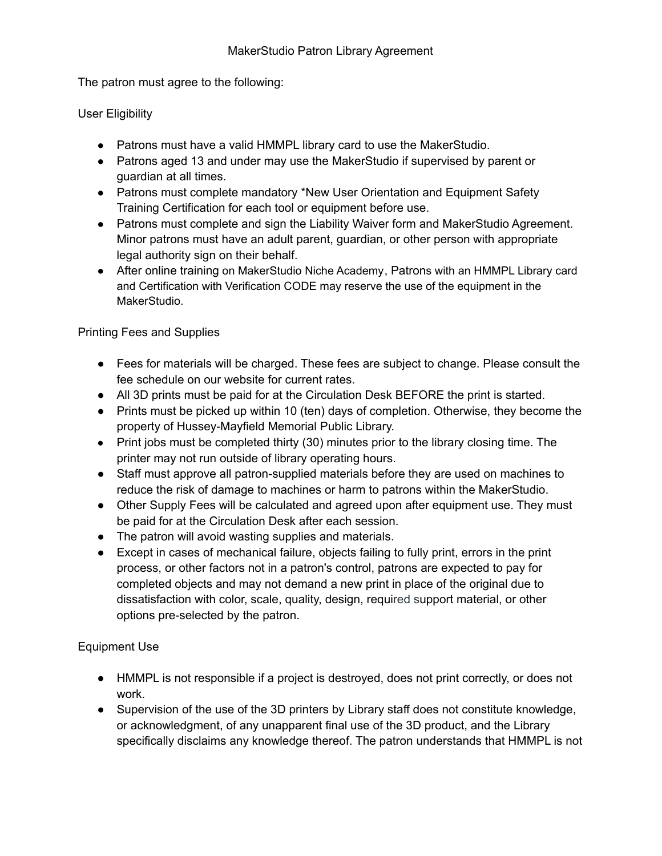The patron must agree to the following:

User Eligibility

- Patrons must have a valid HMMPL library card to use the MakerStudio.
- Patrons aged 13 and under may use the MakerStudio if supervised by parent or guardian at all times.
- Patrons must complete mandatory \*New User Orientation and Equipment Safety Training Certification for each tool or equipment before use.
- Patrons must complete and sign the Liability Waiver form and MakerStudio Agreement. Minor patrons must have an adult parent, guardian, or other person with appropriate legal authority sign on their behalf.
- After online training on MakerStudio Niche Academy, Patrons with an HMMPL Library card and Certification with Verification CODE may reserve the use of the equipment in the MakerStudio.

Printing Fees and Supplies

- Fees for materials will be charged. These fees are subject to change. Please consult the fee schedule on our website for current rates.
- All 3D prints must be paid for at the Circulation Desk BEFORE the print is started.
- Prints must be picked up within 10 (ten) days of completion. Otherwise, they become the property of Hussey-Mayfield Memorial Public Library.
- Print jobs must be completed thirty (30) minutes prior to the library closing time. The printer may not run outside of library operating hours.
- Staff must approve all patron-supplied materials before they are used on machines to reduce the risk of damage to machines or harm to patrons within the MakerStudio.
- Other Supply Fees will be calculated and agreed upon after equipment use. They must be paid for at the Circulation Desk after each session.
- The patron will avoid wasting supplies and materials.
- Except in cases of mechanical failure, objects failing to fully print, errors in the print process, or other factors not in a patron's control, patrons are expected to pay for completed objects and may not demand a new print in place of the original due to dissatisfaction with color, scale, quality, design, required support material, or other options pre-selected by the patron.

Equipment Use

- HMMPL is not responsible if a project is destroyed, does not print correctly, or does not work.
- Supervision of the use of the 3D printers by Library staff does not constitute knowledge, or acknowledgment, of any unapparent final use of the 3D product, and the Library specifically disclaims any knowledge thereof. The patron understands that HMMPL is not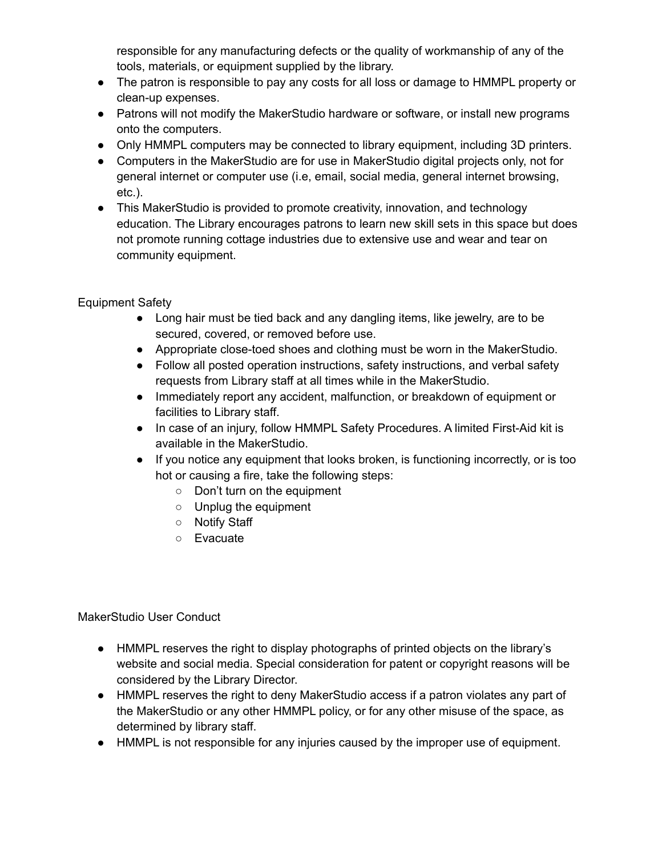responsible for any manufacturing defects or the quality of workmanship of any of the tools, materials, or equipment supplied by the library.

- The patron is responsible to pay any costs for all loss or damage to HMMPL property or clean-up expenses.
- Patrons will not modify the MakerStudio hardware or software, or install new programs onto the computers.
- Only HMMPL computers may be connected to library equipment, including 3D printers.
- Computers in the MakerStudio are for use in MakerStudio digital projects only, not for general internet or computer use (i.e, email, social media, general internet browsing, etc.).
- This MakerStudio is provided to promote creativity, innovation, and technology education. The Library encourages patrons to learn new skill sets in this space but does not promote running cottage industries due to extensive use and wear and tear on community equipment.

Equipment Safety

- Long hair must be tied back and any dangling items, like jewelry, are to be secured, covered, or removed before use.
- Appropriate close-toed shoes and clothing must be worn in the MakerStudio.
- Follow all posted operation instructions, safety instructions, and verbal safety requests from Library staff at all times while in the MakerStudio.
- Immediately report any accident, malfunction, or breakdown of equipment or facilities to Library staff.
- In case of an injury, follow HMMPL Safety Procedures. A limited First-Aid kit is available in the MakerStudio.
- If you notice any equipment that looks broken, is functioning incorrectly, or is too hot or causing a fire, take the following steps:
	- Don't turn on the equipment
	- Unplug the equipment
	- Notify Staff
	- Evacuate

MakerStudio User Conduct

- HMMPL reserves the right to display photographs of printed objects on the library's website and social media. Special consideration for patent or copyright reasons will be considered by the Library Director.
- HMMPL reserves the right to deny MakerStudio access if a patron violates any part of the MakerStudio or any other HMMPL policy, or for any other misuse of the space, as determined by library staff.
- HMMPL is not responsible for any injuries caused by the improper use of equipment.